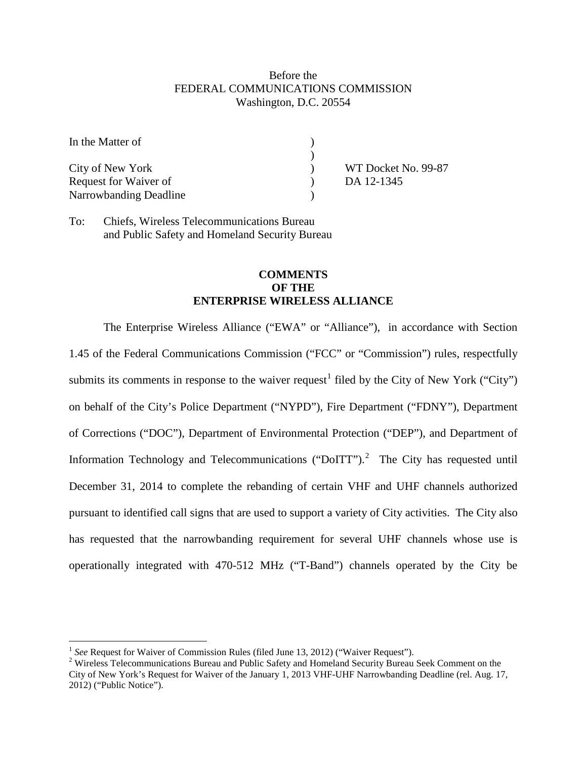## Before the FEDERAL COMMUNICATIONS COMMISSION Washington, D.C. 20554

| In the Matter of       |                     |
|------------------------|---------------------|
|                        |                     |
| City of New York       | WT Docket No. 99-87 |
| Request for Waiver of  | DA 12-1345          |
| Narrowbanding Deadline |                     |

To: Chiefs, Wireless Telecommunications Bureau and Public Safety and Homeland Security Bureau

## **COMMENTS OF THE ENTERPRISE WIRELESS ALLIANCE**

The Enterprise Wireless Alliance ("EWA" or "Alliance"), in accordance with Section 1.45 of the Federal Communications Commission ("FCC" or "Commission") rules, respectfully submits its comments in response to the waiver request<sup>[1](#page-0-0)</sup> filed by the City of New York ("City") on behalf of the City's Police Department ("NYPD"), Fire Department ("FDNY"), Department of Corrections ("DOC"), Department of Environmental Protection ("DEP"), and Department of Information Technology and Telecommunications ("DoITT").<sup>[2](#page-0-1)</sup> The City has requested until December 31, 2014 to complete the rebanding of certain VHF and UHF channels authorized pursuant to identified call signs that are used to support a variety of City activities. The City also has requested that the narrowbanding requirement for several UHF channels whose use is operationally integrated with 470-512 MHz ("T-Band") channels operated by the City be

<span id="page-0-0"></span><sup>&</sup>lt;sup>1</sup> See Request for Waiver of Commission Rules (filed June 13, 2012) ("Waiver Request").

<span id="page-0-1"></span><sup>&</sup>lt;sup>2</sup> Wireless Telecommunications Bureau and Public Safety and Homeland Security Bureau Seek Comment on the City of New York's Request for Waiver of the January 1, 2013 VHF-UHF Narrowbanding Deadline (rel. Aug. 17, 2012) ("Public Notice").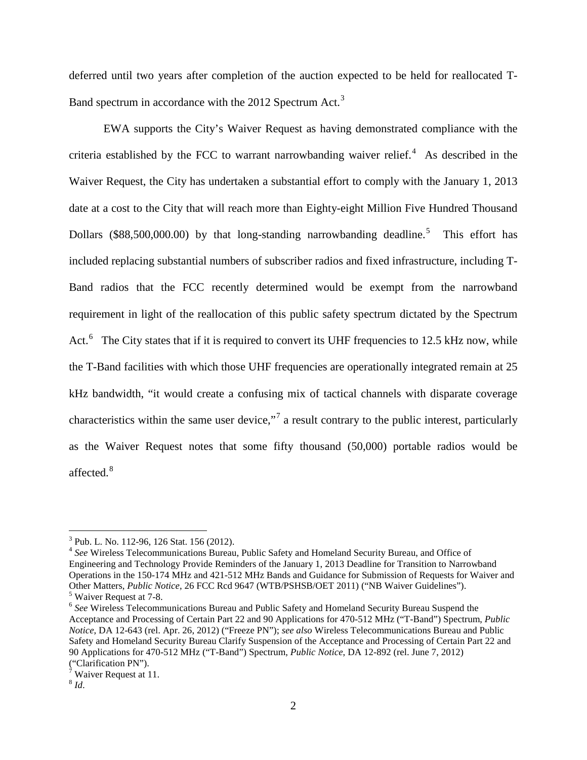deferred until two years after completion of the auction expected to be held for reallocated T-Band spectrum in accordance with the 2012 Spectrum Act.<sup>[3](#page-1-0)</sup>

EWA supports the City's Waiver Request as having demonstrated compliance with the criteria established by the FCC to warrant narrowbanding waiver relief. $4$  As described in the Waiver Request, the City has undertaken a substantial effort to comply with the January 1, 2013 date at a cost to the City that will reach more than Eighty-eight Million Five Hundred Thousand Dollars (\$88,[5](#page-1-2)00,000.00) by that long-standing narrowbanding deadline.<sup>5</sup> This effort has included replacing substantial numbers of subscriber radios and fixed infrastructure, including T-Band radios that the FCC recently determined would be exempt from the narrowband requirement in light of the reallocation of this public safety spectrum dictated by the Spectrum Act.<sup>[6](#page-1-3)</sup> The City states that if it is required to convert its UHF frequencies to 12.5 kHz now, while the T-Band facilities with which those UHF frequencies are operationally integrated remain at 25 kHz bandwidth, "it would create a confusing mix of tactical channels with disparate coverage characteristics within the same user device,"[7](#page-1-4) a result contrary to the public interest, particularly as the Waiver Request notes that some fifty thousand (50,000) portable radios would be affected. $8$ 

<span id="page-1-0"></span> $3$  Pub. L. No. 112-96, 126 Stat. 156 (2012).

<span id="page-1-1"></span><sup>4</sup> *See* Wireless Telecommunications Bureau, Public Safety and Homeland Security Bureau, and Office of Engineering and Technology Provide Reminders of the January 1, 2013 Deadline for Transition to Narrowband Operations in the 150-174 MHz and 421-512 MHz Bands and Guidance for Submission of Requests for Waiver and Other Matters, *Public Notice*, 26 FCC Rcd 9647 (WTB/PSHSB/OET 2011) ("NB Waiver Guidelines"). <sup>5</sup> Waiver Request at 7-8.<br><sup>6</sup> See Wireless Telecommunications Bureau and Public Safety and Homeland Security Bureau Suspend the

<span id="page-1-3"></span><span id="page-1-2"></span>Acceptance and Processing of Certain Part 22 and 90 Applications for 470-512 MHz ("T-Band") Spectrum, *Public Notice*, DA 12-643 (rel. Apr. 26, 2012) ("Freeze PN"); *see also* Wireless Telecommunications Bureau and Public Safety and Homeland Security Bureau Clarify Suspension of the Acceptance and Processing of Certain Part 22 and 90 Applications for 470-512 MHz ("T-Band") Spectrum, *Public Notice*, DA 12-892 (rel. June 7, 2012) ("Clarification PN").

<span id="page-1-4"></span> $7$  Waiver Request at 11.

<span id="page-1-5"></span> $8$  *Id.*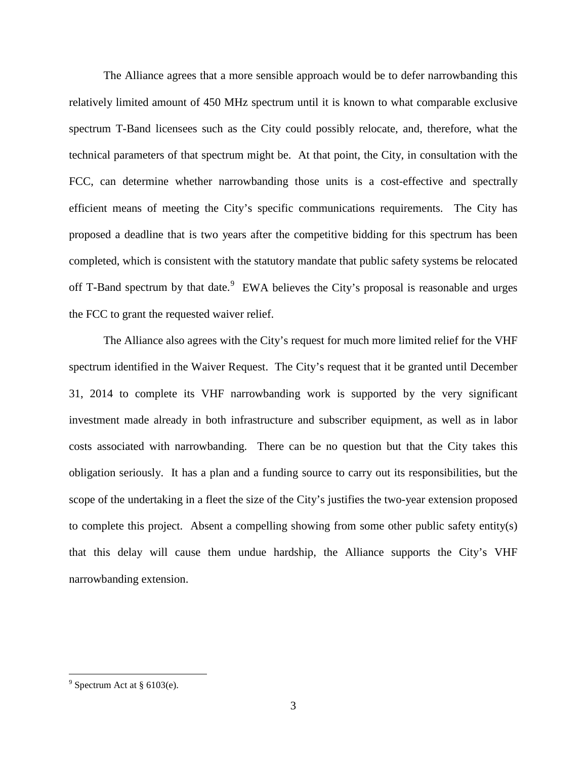The Alliance agrees that a more sensible approach would be to defer narrowbanding this relatively limited amount of 450 MHz spectrum until it is known to what comparable exclusive spectrum T-Band licensees such as the City could possibly relocate, and, therefore, what the technical parameters of that spectrum might be. At that point, the City, in consultation with the FCC, can determine whether narrowbanding those units is a cost-effective and spectrally efficient means of meeting the City's specific communications requirements. The City has proposed a deadline that is two years after the competitive bidding for this spectrum has been completed, which is consistent with the statutory mandate that public safety systems be relocated off T-Band spectrum by that date. $9$  EWA believes the City's proposal is reasonable and urges the FCC to grant the requested waiver relief.

The Alliance also agrees with the City's request for much more limited relief for the VHF spectrum identified in the Waiver Request. The City's request that it be granted until December 31, 2014 to complete its VHF narrowbanding work is supported by the very significant investment made already in both infrastructure and subscriber equipment, as well as in labor costs associated with narrowbanding. There can be no question but that the City takes this obligation seriously. It has a plan and a funding source to carry out its responsibilities, but the scope of the undertaking in a fleet the size of the City's justifies the two-year extension proposed to complete this project. Absent a compelling showing from some other public safety entity(s) that this delay will cause them undue hardship, the Alliance supports the City's VHF narrowbanding extension.

<span id="page-2-0"></span> $9$  Spectrum Act at § 6103(e).